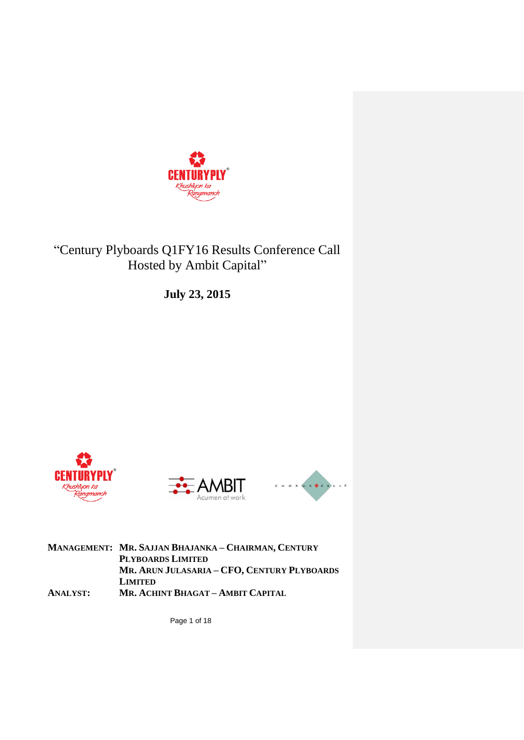

# "Century Plyboards Q1FY16 Results Conference Call Hosted by Ambit Capital"

**July 23, 2015**







**MANAGEMENT: MR. SAJJAN BHAJANKA – CHAIRMAN, CENTURY PLYBOARDS LIMITED MR. ARUN JULASARIA – CFO, CENTURY PLYBOARDS LIMITED ANALYST: MR. ACHINT BHAGAT – AMBIT CAPITAL**

Page 1 of 18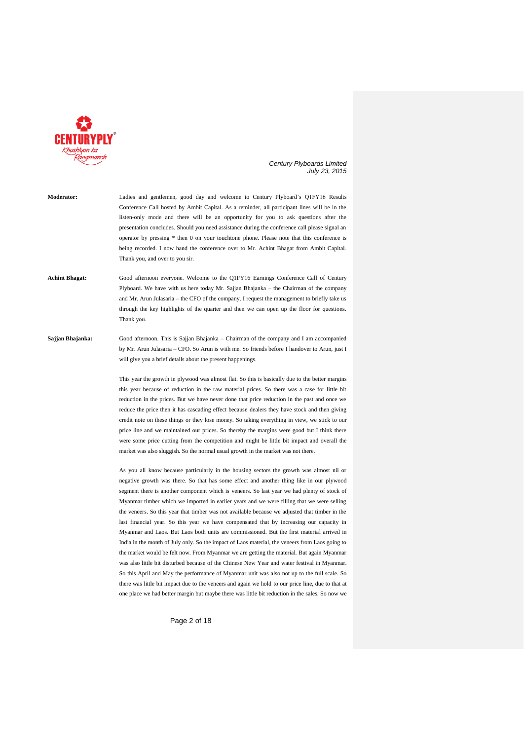

| <b>Moderator:</b>     | Ladies and gentlemen, good day and welcome to Century Plyboard's Q1FY16 Results                |
|-----------------------|------------------------------------------------------------------------------------------------|
|                       | Conference Call hosted by Ambit Capital. As a reminder, all participant lines will be in the   |
|                       | listen-only mode and there will be an opportunity for you to ask questions after the           |
|                       | presentation concludes. Should you need assistance during the conference call please signal an |
|                       | operator by pressing * then 0 on your touchtone phone. Please note that this conference is     |
|                       | being recorded. I now hand the conference over to Mr. Achint Bhagat from Ambit Capital.        |
|                       | Thank you, and over to you sir.                                                                |
|                       |                                                                                                |
| <b>Achint Bhagat:</b> | Good afternoon everyone. Welcome to the Q1FY16 Earnings Conference Call of Century             |

Plyboard. We have with us here today Mr. Sajjan Bhajanka – the Chairman of the company and Mr. Arun Julasaria – the CFO of the company. I request the management to briefly take us through the key highlights of the quarter and then we can open up the floor for questions. Thank you.

**Sajjan Bhajanka:** Good afternoon. This is Sajjan Bhajanka – Chairman of the company and I am accompanied by Mr. Arun Julasaria – CFO. So Arun is with me. So friends before I handover to Arun, just I will give you a brief details about the present happenings.

> This year the growth in plywood was almost flat. So this is basically due to the better margins this year because of reduction in the raw material prices. So there was a case for little bit reduction in the prices. But we have never done that price reduction in the past and once we reduce the price then it has cascading effect because dealers they have stock and then giving credit note on these things or they lose money. So taking everything in view, we stick to our price line and we maintained our prices. So thereby the margins were good but I think there were some price cutting from the competition and might be little bit impact and overall the market was also sluggish. So the normal usual growth in the market was not there.

> As you all know because particularly in the housing sectors the growth was almost nil or negative growth was there. So that has some effect and another thing like in our plywood segment there is another component which is veneers. So last year we had plenty of stock of Myanmar timber which we imported in earlier years and we were filling that we were selling the veneers. So this year that timber was not available because we adjusted that timber in the last financial year. So this year we have compensated that by increasing our capacity in Myanmar and Laos. But Laos both units are commissioned. But the first material arrived in India in the month of July only. So the impact of Laos material, the veneers from Laos going to the market would be felt now. From Myanmar we are getting the material. But again Myanmar was also little bit disturbed because of the Chinese New Year and water festival in Myanmar. So this April and May the performance of Myanmar unit was also not up to the full scale. So there was little bit impact due to the veneers and again we hold to our price line, due to that at one place we had better margin but maybe there was little bit reduction in the sales. So now we

> > Page 2 of 18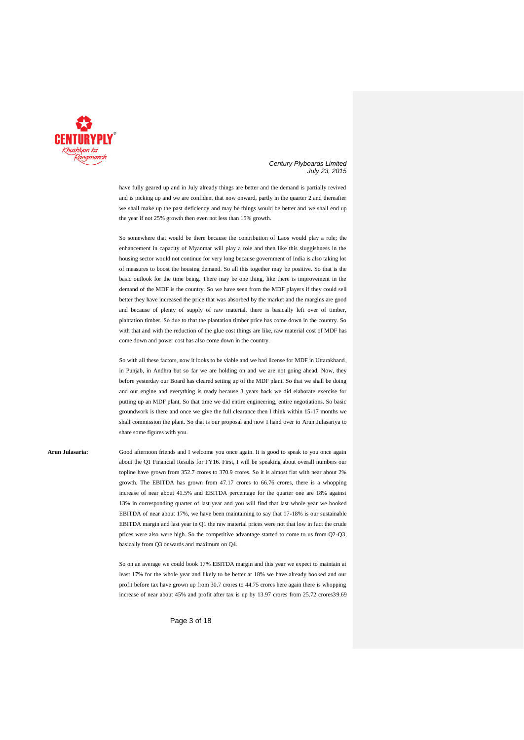

have fully geared up and in July already things are better and the demand is partially revived and is picking up and we are confident that now onward, partly in the quarter 2 and thereafter we shall make up the past deficiency and may be things would be better and we shall end up the year if not 25% growth then even not less than 15% growth.

So somewhere that would be there because the contribution of Laos would play a role; the enhancement in capacity of Myanmar will play a role and then like this sluggishness in the housing sector would not continue for very long because government of India is also taking lot of measures to boost the housing demand. So all this together may be positive. So that is the basic outlook for the time being. There may be one thing, like there is improvement in the demand of the MDF is the country. So we have seen from the MDF players if they could sell better they have increased the price that was absorbed by the market and the margins are good and because of plenty of supply of raw material, there is basically left over of timber, plantation timber. So due to that the plantation timber price has come down in the country. So with that and with the reduction of the glue cost things are like, raw material cost of MDF has come down and power cost has also come down in the country.

So with all these factors, now it looks to be viable and we had license for MDF in Uttarakhand, in Punjab, in Andhra but so far we are holding on and we are not going ahead. Now, they before yesterday our Board has cleared setting up of the MDF plant. So that we shall be doing and our engine and everything is ready because 3 years back we did elaborate exercise for putting up an MDF plant. So that time we did entire engineering, entire negotiations. So basic groundwork is there and once we give the full clearance then I think within 15-17 months we shall commission the plant. So that is our proposal and now I hand over to Arun Julasariya to share some figures with you.

**Arun Julasaria:** Good afternoon friends and I welcome you once again. It is good to speak to you once again about the Q1 Financial Results for FY16. First, I will be speaking about overall numbers our topline have grown from 352.7 crores to 370.9 crores. So it is almost flat with near about 2% growth. The EBITDA has grown from 47.17 crores to 66.76 crores, there is a whopping increase of near about 41.5% and EBITDA percentage for the quarter one are 18% against 13% in corresponding quarter of last year and you will find that last whole year we booked EBITDA of near about 17%, we have been maintaining to say that 17-18% is our sustainable EBITDA margin and last year in Q1 the raw material prices were not that low in fact the crude prices were also were high. So the competitive advantage started to come to us from Q2-Q3, basically from Q3 onwards and maximum on Q4.

> So on an average we could book 17% EBITDA margin and this year we expect to maintain at least 17% for the whole year and likely to be better at 18% we have already booked and our profit before tax have grown up from 30.7 crores to 44.75 crores here again there is whopping increase of near about 45% and profit after tax is up by 13.97 crores from 25.72 crores39.69

> > Page 3 of 18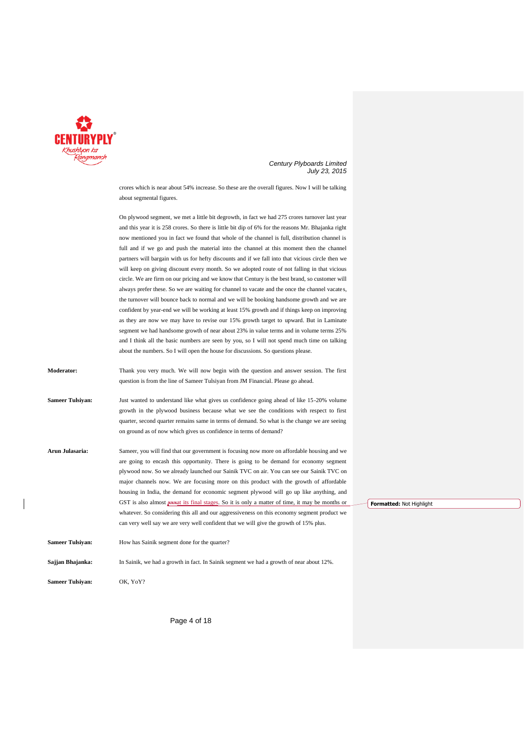

 $\overline{\phantom{a}}$ 

#### *Century Plyboards Limited July 23, 2015*

crores which is near about 54% increase. So these are the overall figures. Now I will be talking about segmental figures.

|                         | On plywood segment, we met a little bit degrowth, in fact we had 275 crores turnover last year         |                          |
|-------------------------|--------------------------------------------------------------------------------------------------------|--------------------------|
|                         | and this year it is 258 crores. So there is little bit dip of 6% for the reasons Mr. Bhajanka right    |                          |
|                         | now mentioned you in fact we found that whole of the channel is full, distribution channel is          |                          |
|                         | full and if we go and push the material into the channel at this moment then the channel               |                          |
|                         | partners will bargain with us for hefty discounts and if we fall into that vicious circle then we      |                          |
|                         | will keep on giving discount every month. So we adopted route of not falling in that vicious           |                          |
|                         | circle. We are firm on our pricing and we know that Century is the best brand, so customer will        |                          |
|                         | always prefer these. So we are waiting for channel to vacate and the once the channel vacates,         |                          |
|                         | the turnover will bounce back to normal and we will be booking handsome growth and we are              |                          |
|                         | confident by year-end we will be working at least 15% growth and if things keep on improving           |                          |
|                         | as they are now we may have to revise our 15% growth target to upward. But in Laminate                 |                          |
|                         | segment we had handsome growth of near about 23% in value terms and in volume terms 25%                |                          |
|                         | and I think all the basic numbers are seen by you, so I will not spend much time on talking            |                          |
|                         | about the numbers. So I will open the house for discussions. So questions please.                      |                          |
| <b>Moderator:</b>       | Thank you very much. We will now begin with the question and answer session. The first                 |                          |
|                         | question is from the line of Sameer Tulsiyan from JM Financial. Please go ahead.                       |                          |
| Sameer Tulsiyan:        | Just wanted to understand like what gives us confidence going ahead of like 15-20% volume              |                          |
|                         | growth in the plywood business because what we see the conditions with respect to first                |                          |
|                         | quarter, second quarter remains same in terms of demand. So what is the change we are seeing           |                          |
|                         | on ground as of now which gives us confidence in terms of demand?                                      |                          |
| Arun Julasaria:         | Sameer, you will find that our government is focusing now more on affordable housing and we            |                          |
|                         | are going to encash this opportunity. There is going to be demand for economy segment                  |                          |
|                         | plywood now. So we already launched our Sainik TVC on air. You can see our Sainik TVC on               |                          |
|                         | major channels now. We are focusing more on this product with the growth of affordable                 |                          |
|                         | housing in India, the demand for economic segment plywood will go up like anything, and                |                          |
|                         | GST is also almost <b>xxx</b> at its final stages. So it is only a matter of time, it may be months or | Formatted: Not Highlight |
|                         | whatever. So considering this all and our aggressiveness on this economy segment product we            |                          |
|                         | can very well say we are very well confident that we will give the growth of 15% plus.                 |                          |
| <b>Sameer Tulsiyan:</b> | How has Sainik segment done for the quarter?                                                           |                          |
| Sajjan Bhajanka:        | In Sainik, we had a growth in fact. In Sainik segment we had a growth of near about 12%.               |                          |
| Sameer Tulsiyan:        | OK, YoY?                                                                                               |                          |

Page 4 of 18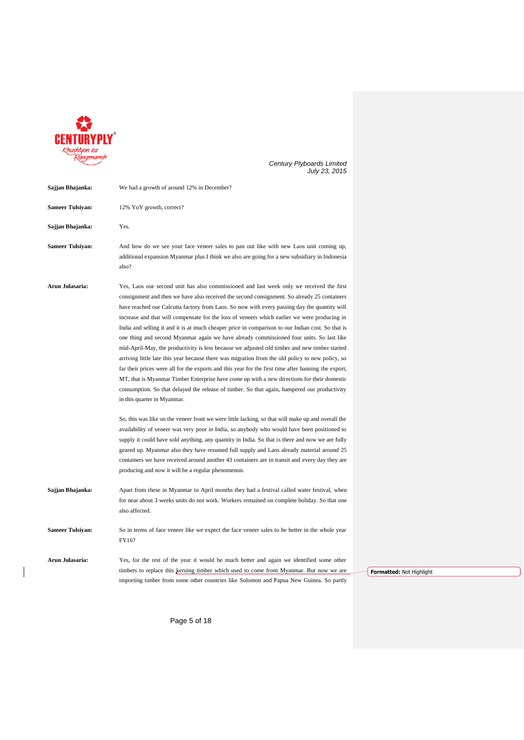

 $\overline{\phantom{a}}$ 

*Century Plyboards Limited July 23, 2015*

| Sajjan Bhajanka:        | We had a growth of around 12% in December?                                                                                                                                                                                                                                                                                                                                                                                                                                                                                                                                                                                                                                                                                                                                                                                                                                                                                                                                                                                                                                                                                                                                                                                                                                                                                                                                                                                                                                                                                                                                                                                                  |  |
|-------------------------|---------------------------------------------------------------------------------------------------------------------------------------------------------------------------------------------------------------------------------------------------------------------------------------------------------------------------------------------------------------------------------------------------------------------------------------------------------------------------------------------------------------------------------------------------------------------------------------------------------------------------------------------------------------------------------------------------------------------------------------------------------------------------------------------------------------------------------------------------------------------------------------------------------------------------------------------------------------------------------------------------------------------------------------------------------------------------------------------------------------------------------------------------------------------------------------------------------------------------------------------------------------------------------------------------------------------------------------------------------------------------------------------------------------------------------------------------------------------------------------------------------------------------------------------------------------------------------------------------------------------------------------------|--|
| <b>Sameer Tulsiyan:</b> | 12% YoY growth, correct?                                                                                                                                                                                                                                                                                                                                                                                                                                                                                                                                                                                                                                                                                                                                                                                                                                                                                                                                                                                                                                                                                                                                                                                                                                                                                                                                                                                                                                                                                                                                                                                                                    |  |
| Sajjan Bhajanka:        | Yes.                                                                                                                                                                                                                                                                                                                                                                                                                                                                                                                                                                                                                                                                                                                                                                                                                                                                                                                                                                                                                                                                                                                                                                                                                                                                                                                                                                                                                                                                                                                                                                                                                                        |  |
| <b>Sameer Tulsiyan:</b> | And how do we see your face veneer sales to pan out like with new Laos unit coming up,<br>additional expansion Myanmar plus I think we also are going for a new subsidiary in Indonesia<br>also?                                                                                                                                                                                                                                                                                                                                                                                                                                                                                                                                                                                                                                                                                                                                                                                                                                                                                                                                                                                                                                                                                                                                                                                                                                                                                                                                                                                                                                            |  |
| Arun Julasaria:         | Yes, Laos our second unit has also commissioned and last week only we received the first<br>consignment and then we have also received the second consignment. So already 25 containers<br>have reached our Calcutta factory from Laos. So now with every passing day the quantity will<br>increase and that will compensate for the loss of veneers which earlier we were producing in<br>India and selling it and it is at much cheaper price in comparison to our Indian cost. So that is<br>one thing and second Myanmar again we have already commissioned four units. So last like<br>mid-April-May, the productivity is less because we adjusted old timber and new timber started<br>arriving little late this year because there was migration from the old policy to new policy, so<br>far their prices were all for the exports and this year for the first time after banning the export,<br>MT, that is Myanmar Timber Enterprise have come up with a new directions for their domestic<br>consumption. So that delayed the release of timber. So that again, hampered our productivity<br>in this quarter in Myanmar.<br>So, this was like on the veneer front we were little lacking, so that will make up and overall the<br>availability of veneer was very poor in India, so anybody who would have been positioned to<br>supply it could have sold anything, any quantity in India. So that is there and now we are fully<br>geared up. Myanmar also they have resumed full supply and Laos already material around 25<br>containers we have received around another 43 containers are in transit and every day they are |  |
|                         | producing and now it will be a regular phenomenon.                                                                                                                                                                                                                                                                                                                                                                                                                                                                                                                                                                                                                                                                                                                                                                                                                                                                                                                                                                                                                                                                                                                                                                                                                                                                                                                                                                                                                                                                                                                                                                                          |  |
| Sajjan Bhajanka:        | Apart from these in Myanmar in April months they had a festival called water festival, when<br>for near about 3 weeks units do not work. Workers remained on complete holiday. So that one<br>also affected.                                                                                                                                                                                                                                                                                                                                                                                                                                                                                                                                                                                                                                                                                                                                                                                                                                                                                                                                                                                                                                                                                                                                                                                                                                                                                                                                                                                                                                |  |
| <b>Sameer Tulsiyan:</b> | So in terms of face veneer like we expect the face veneer sales to be better in the whole year<br>FY16?                                                                                                                                                                                                                                                                                                                                                                                                                                                                                                                                                                                                                                                                                                                                                                                                                                                                                                                                                                                                                                                                                                                                                                                                                                                                                                                                                                                                                                                                                                                                     |  |
| Arun Julasaria:         | Yes, for the rest of the year it would be much better and again we identified some other<br>timbers to replace this keruing timber which used to come from Myanmar. But now we are<br>importing timber from some other countries like Solomon and Papua New Guinea. So partly                                                                                                                                                                                                                                                                                                                                                                                                                                                                                                                                                                                                                                                                                                                                                                                                                                                                                                                                                                                                                                                                                                                                                                                                                                                                                                                                                               |  |

**Formatted:** Not Highlight

Page 5 of 18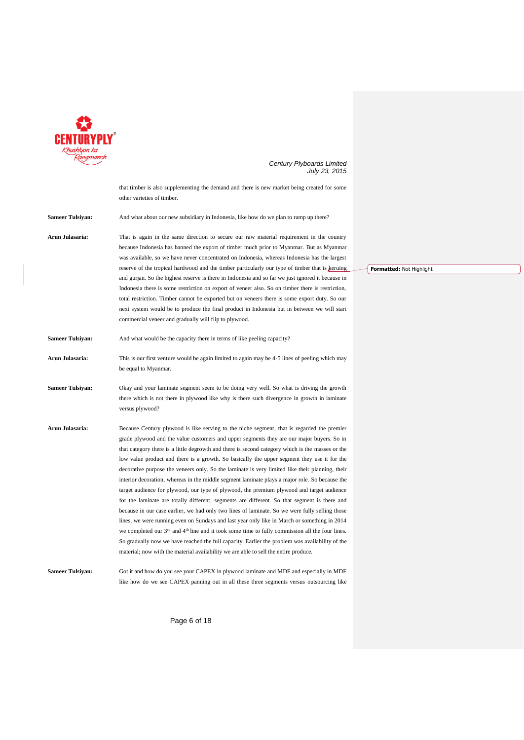

|                         | that timber is also supplementing the demand and there is new market being created for some<br>other varieties of timber.                                                                                                                                                                                                                                                                                                                                                                                                                                                                                                                                                                                                                                                                                                                                                                                                                                                                                                                                                                                                                                                                                                                                                                                            |
|-------------------------|----------------------------------------------------------------------------------------------------------------------------------------------------------------------------------------------------------------------------------------------------------------------------------------------------------------------------------------------------------------------------------------------------------------------------------------------------------------------------------------------------------------------------------------------------------------------------------------------------------------------------------------------------------------------------------------------------------------------------------------------------------------------------------------------------------------------------------------------------------------------------------------------------------------------------------------------------------------------------------------------------------------------------------------------------------------------------------------------------------------------------------------------------------------------------------------------------------------------------------------------------------------------------------------------------------------------|
| <b>Sameer Tulsiyan:</b> | And what about our new subsidiary in Indonesia, like how do we plan to ramp up there?                                                                                                                                                                                                                                                                                                                                                                                                                                                                                                                                                                                                                                                                                                                                                                                                                                                                                                                                                                                                                                                                                                                                                                                                                                |
| Arun Julasaria:         | That is again in the same direction to secure our raw material requirement in the country<br>because Indonesia has banned the export of timber much prior to Myanmar. But as Myanmar<br>was available, so we have never concentrated on Indonesia, whereas Indonesia has the largest<br>reserve of the tropical hardwood and the timber particularly our type of timber that is keruing                                                                                                                                                                                                                                                                                                                                                                                                                                                                                                                                                                                                                                                                                                                                                                                                                                                                                                                              |
|                         | and gurjan. So the highest reserve is there in Indonesia and so far we just ignored it because in<br>Indonesia there is some restriction on export of veneer also. So on timber there is restriction,<br>total restriction. Timber cannot be exported but on veneers there is some export duty. So our<br>next system would be to produce the final product in Indonesia but in between we will start<br>commercial veneer and gradually will flip to plywood.                                                                                                                                                                                                                                                                                                                                                                                                                                                                                                                                                                                                                                                                                                                                                                                                                                                       |
| <b>Sameer Tulsiyan:</b> | And what would be the capacity there in terms of like peeling capacity?                                                                                                                                                                                                                                                                                                                                                                                                                                                                                                                                                                                                                                                                                                                                                                                                                                                                                                                                                                                                                                                                                                                                                                                                                                              |
| Arun Julasaria:         | This is our first venture would be again limited to again may be 4-5 lines of peeling which may<br>be equal to Myanmar.                                                                                                                                                                                                                                                                                                                                                                                                                                                                                                                                                                                                                                                                                                                                                                                                                                                                                                                                                                                                                                                                                                                                                                                              |
| <b>Sameer Tulsiyan:</b> | Okay and your laminate segment seem to be doing very well. So what is driving the growth<br>there which is not there in plywood like why is there such divergence in growth in laminate<br>versus plywood?                                                                                                                                                                                                                                                                                                                                                                                                                                                                                                                                                                                                                                                                                                                                                                                                                                                                                                                                                                                                                                                                                                           |
| Arun Julasaria:         | Because Century plywood is like serving to the niche segment, that is regarded the premier<br>grade plywood and the value customers and upper segments they are our major buyers. So in<br>that category there is a little degrowth and there is second category which is the masses or the<br>low value product and there is a growth. So basically the upper segment they use it for the<br>decorative purpose the veneers only. So the laminate is very limited like their planning, their<br>interior decoration, whereas in the middle segment laminate plays a major role. So because the<br>target audience for plywood, our type of plywood, the premium plywood and target audience<br>for the laminate are totally different, segments are different. So that segment is there and<br>because in our case earlier, we had only two lines of laminate. So we were fully selling those<br>lines, we were running even on Sundays and last year only like in March or something in 2014<br>we completed our 3 <sup>rd</sup> and 4 <sup>th</sup> line and it took some time to fully commission all the four lines.<br>So gradually now we have reached the full capacity. Earlier the problem was availability of the<br>material; now with the material availability we are able to sell the entire produce. |
| <b>Sameer Tulsiyan:</b> | Got it and how do you see your CAPEX in plywood laminate and MDF and especially in MDF<br>like how do we see CAPEX panning out in all these three segments versus outsourcing like                                                                                                                                                                                                                                                                                                                                                                                                                                                                                                                                                                                                                                                                                                                                                                                                                                                                                                                                                                                                                                                                                                                                   |

**Formatted:** Not Highlight

Page 6 of 18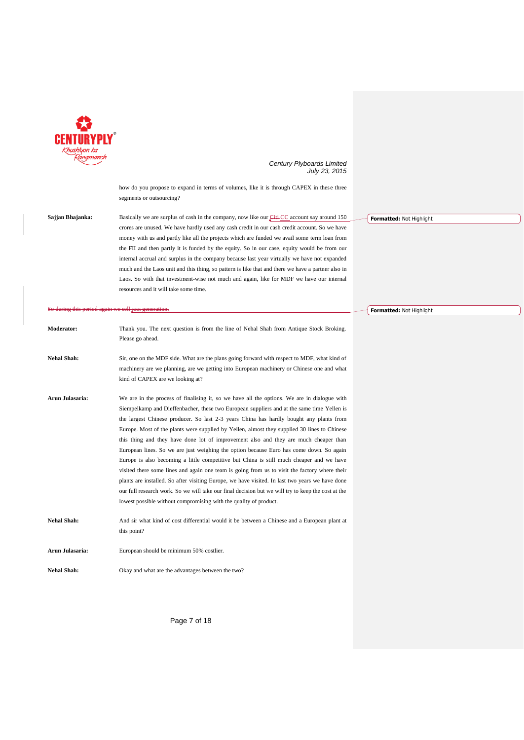

how do you propose to expand in terms of volumes, like it is through CAPEX in these three segments or outsourcing?

**Sajjan Bhajanka:** Basically we are surplus of cash in the company, now like our *Citi CC* account say around 150 crores are unused. We have hardly used any cash credit in our cash credit account. So we have money with us and partly like all the projects which are funded we avail some term loan from the FII and then partly it is funded by the equity. So in our case, equity would be from our internal accrual and surplus in the company because last year virtually we have not expanded much and the Laos unit and this thing, so pattern is like that and there we have a partner also in Laos. So with that investment-wise not much and again, like for MDF we have our internal resources and it will take some time.

So during this period again we sell xxx generation.

| <b>Moderator:</b>  | Thank you. The next question is from the line of Nehal Shah from Antique Stock Broking.            |
|--------------------|----------------------------------------------------------------------------------------------------|
|                    | Please go ahead.                                                                                   |
| <b>Nehal Shah:</b> | Sir, one on the MDF side. What are the plans going forward with respect to MDF, what kind of       |
|                    | machinery are we planning, are we getting into European machinery or Chinese one and what          |
|                    | kind of CAPEX are we looking at?                                                                   |
| Arun Julasaria:    | We are in the process of finalising it, so we have all the options. We are in dialogue with        |
|                    | Siempelkamp and Dieffenbacher, these two European suppliers and at the same time Yellen is         |
|                    | the largest Chinese producer. So last 2-3 years China has hardly bought any plants from            |
|                    | Europe. Most of the plants were supplied by Yellen, almost they supplied 30 lines to Chinese       |
|                    | this thing and they have done lot of improvement also and they are much cheaper than               |
|                    | European lines. So we are just weighing the option because Euro has come down. So again            |
|                    | Europe is also becoming a little competitive but China is still much cheaper and we have           |
|                    | visited there some lines and again one team is going from us to visit the factory where their      |
|                    | plants are installed. So after visiting Europe, we have visited. In last two years we have done    |
|                    | our full research work. So we will take our final decision but we will try to keep the cost at the |
|                    | lowest possible without compromising with the quality of product.                                  |
| <b>Nehal Shah:</b> | And sir what kind of cost differential would it be between a Chinese and a European plant at       |
|                    | this point?                                                                                        |
| Arun Julasaria:    | European should be minimum 50% costlier.                                                           |
| <b>Nehal Shah:</b> | Okay and what are the advantages between the two?                                                  |

**Formatted:** Not Highlight

**Formatted:** Not Highlight

Page 7 of 18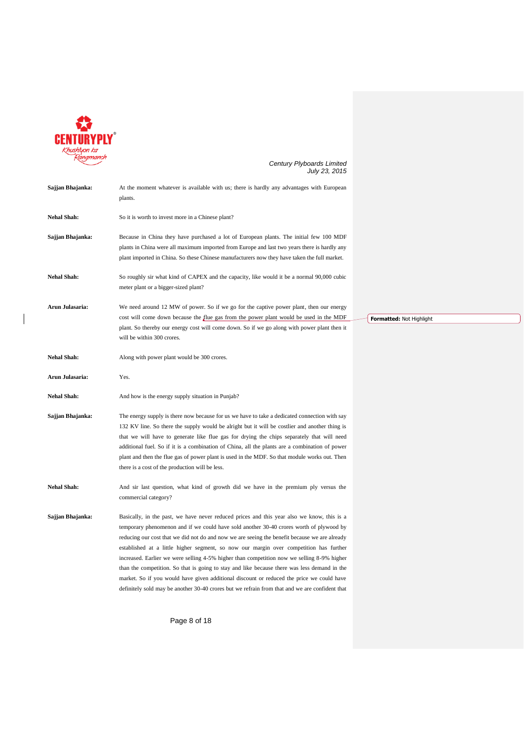

 $\overline{\phantom{a}}$ 

*Century Plyboards Limited July 23, 2015*

**Formatted:** Not Highlight

| Sajjan Bhajanka:   | At the moment whatever is available with us; there is hardly any advantages with European<br>plants.                                                                                                                                                                                                                                                                                                                                                                                                                                                                                                                                                                                                                                                                          |  |
|--------------------|-------------------------------------------------------------------------------------------------------------------------------------------------------------------------------------------------------------------------------------------------------------------------------------------------------------------------------------------------------------------------------------------------------------------------------------------------------------------------------------------------------------------------------------------------------------------------------------------------------------------------------------------------------------------------------------------------------------------------------------------------------------------------------|--|
| <b>Nehal Shah:</b> | So it is worth to invest more in a Chinese plant?                                                                                                                                                                                                                                                                                                                                                                                                                                                                                                                                                                                                                                                                                                                             |  |
| Sajjan Bhajanka:   | Because in China they have purchased a lot of European plants. The initial few 100 MDF<br>plants in China were all maximum imported from Europe and last two years there is hardly any<br>plant imported in China. So these Chinese manufacturers now they have taken the full market.                                                                                                                                                                                                                                                                                                                                                                                                                                                                                        |  |
| <b>Nehal Shah:</b> | So roughly sir what kind of CAPEX and the capacity, like would it be a normal 90,000 cubic<br>meter plant or a bigger-sized plant?                                                                                                                                                                                                                                                                                                                                                                                                                                                                                                                                                                                                                                            |  |
| Arun Julasaria:    | We need around 12 MW of power. So if we go for the captive power plant, then our energy<br>cost will come down because the flue gas from the power plant would be used in the MDF<br>plant. So thereby our energy cost will come down. So if we go along with power plant then it<br>will be within 300 crores.                                                                                                                                                                                                                                                                                                                                                                                                                                                               |  |
| <b>Nehal Shah:</b> | Along with power plant would be 300 crores.                                                                                                                                                                                                                                                                                                                                                                                                                                                                                                                                                                                                                                                                                                                                   |  |
| Arun Julasaria:    | Yes.                                                                                                                                                                                                                                                                                                                                                                                                                                                                                                                                                                                                                                                                                                                                                                          |  |
| <b>Nehal Shah:</b> | And how is the energy supply situation in Punjab?                                                                                                                                                                                                                                                                                                                                                                                                                                                                                                                                                                                                                                                                                                                             |  |
| Sajjan Bhajanka:   | The energy supply is there now because for us we have to take a dedicated connection with say<br>132 KV line. So there the supply would be alright but it will be costlier and another thing is<br>that we will have to generate like flue gas for drying the chips separately that will need<br>additional fuel. So if it is a combination of China, all the plants are a combination of power<br>plant and then the flue gas of power plant is used in the MDF. So that module works out. Then<br>there is a cost of the production will be less.                                                                                                                                                                                                                           |  |
| <b>Nehal Shah:</b> | And sir last question, what kind of growth did we have in the premium ply versus the<br>commercial category?                                                                                                                                                                                                                                                                                                                                                                                                                                                                                                                                                                                                                                                                  |  |
| Sajjan Bhajanka:   | Basically, in the past, we have never reduced prices and this year also we know, this is a<br>temporary phenomenon and if we could have sold another 30-40 crores worth of plywood by<br>reducing our cost that we did not do and now we are seeing the benefit because we are already<br>established at a little higher segment, so now our margin over competition has further<br>increased. Earlier we were selling 4-5% higher than competition now we selling 8-9% higher<br>than the competition. So that is going to stay and like because there was less demand in the<br>market. So if you would have given additional discount or reduced the price we could have<br>definitely sold may be another 30-40 crores but we refrain from that and we are confident that |  |

Page 8 of 18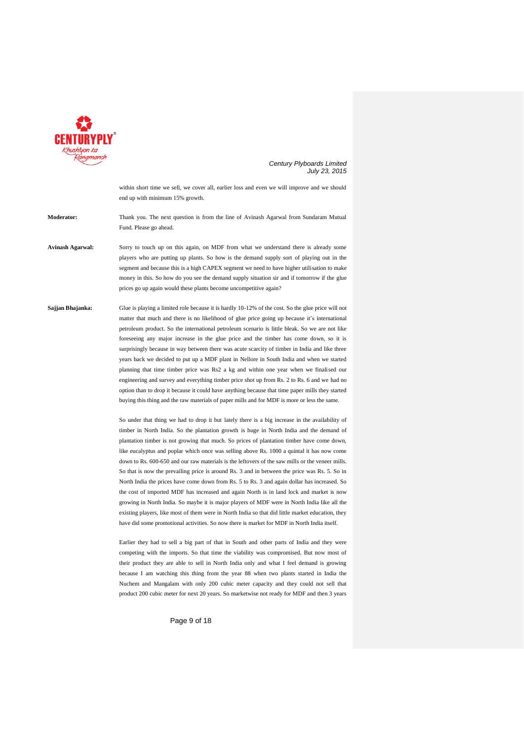

within short time we sell, we cover all, earlier loss and even we will improve and we should end up with minimum 15% growth.

**Moderator:** Thank you. The next question is from the line of Avinash Agarwal from Sundaram Mutual Fund. Please go ahead.

**Avinash Agarwal:** Sorry to touch up on this again, on MDF from what we understand there is already some players who are putting up plants. So how is the demand supply sort of playing out in the segment and because this is a high CAPEX segment we need to have higher utilisation to make money in this. So how do you see the demand supply situation sir and if tomorrow if the glue prices go up again would these plants become uncompetitive again?

**Sajjan Bhajanka:** Glue is playing a limited role because it is hardly 10-12% of the cost. So the glue price will not matter that much and there is no likelihood of glue price going up because it's international petroleum product. So the international petroleum scenario is little bleak. So we are not like foreseeing any major increase in the glue price and the timber has come down, so it is surprisingly because in way between there was acute scarcity of timber in India and like three years back we decided to put up a MDF plant in Nellore in South India and when we started planning that time timber price was Rs2 a kg and within one year when we finalised our engineering and survey and everything timber price shot up from Rs. 2 to Rs. 6 and we had no option than to drop it because it could have anything because that time paper mills they started buying this thing and the raw materials of paper mills and for MDF is more or less the same.

> So under that thing we had to drop it but lately there is a big increase in the availability of timber in North India. So the plantation growth is huge in North India and the demand of plantation timber is not growing that much. So prices of plantation timber have come down, like eucalyptus and poplar which once was selling above Rs. 1000 a quintal it has now come down to Rs. 600-650 and our raw materials is the leftovers of the saw mills or the veneer mills. So that is now the prevailing price is around Rs. 3 and in between the price was Rs. 5. So in North India the prices have come down from Rs. 5 to Rs. 3 and again dollar has increased. So the cost of imported MDF has increased and again North is in land lock and market is now growing in North India. So maybe it is major players of MDF were in North India like all the existing players, like most of them were in North India so that did little market education, they have did some promotional activities. So now there is market for MDF in North India itself.

> Earlier they had to sell a big part of that in South and other parts of India and they were competing with the imports. So that time the viability was compromised. But now most of their product they are able to sell in North India only and what I feel demand is growing because I am watching this thing from the year 88 when two plants started in India the Nuchem and Mangalam with only 200 cubic meter capacity and they could not sell that product 200 cubic meter for next 20 years. So marketwise not ready for MDF and then 3 years

> > Page 9 of 18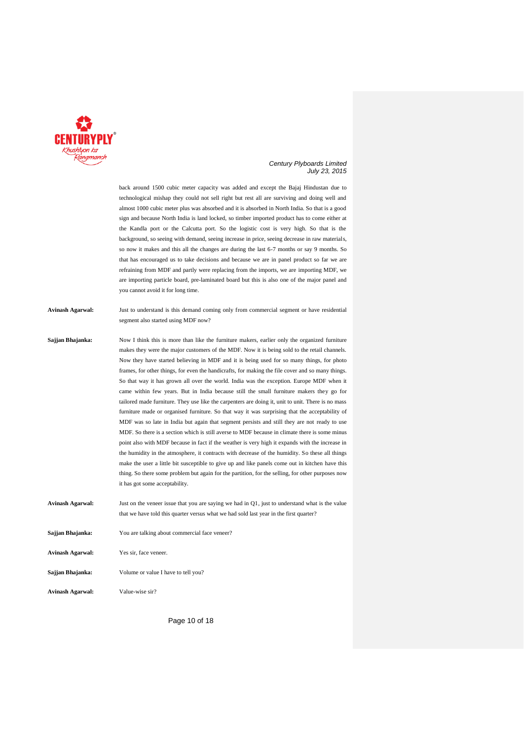

back around 1500 cubic meter capacity was added and except the Bajaj Hindustan due to technological mishap they could not sell right but rest all are surviving and doing well and almost 1000 cubic meter plus was absorbed and it is absorbed in North India. So that is a good sign and because North India is land locked, so timber imported product has to come either at the Kandla port or the Calcutta port. So the logistic cost is very high. So that is the background, so seeing with demand, seeing increase in price, seeing decrease in raw materials, so now it makes and this all the changes are during the last 6-7 months or say 9 months. So that has encouraged us to take decisions and because we are in panel product so far we are refraining from MDF and partly were replacing from the imports, we are importing MDF, we are importing particle board, pre-laminated board but this is also one of the major panel and you cannot avoid it for long time.

**Avinash Agarwal:** Just to understand is this demand coming only from commercial segment or have residential segment also started using MDF now?

**Sajjan Bhajanka:** Now I think this is more than like the furniture makers, earlier only the organized furniture makes they were the major customers of the MDF. Now it is being sold to the retail channels. Now they have started believing in MDF and it is being used for so many things, for photo frames, for other things, for even the handicrafts, for making the file cover and so many things. So that way it has grown all over the world. India was the exception. Europe MDF when it came within few years. But in India because still the small furniture makers they go for tailored made furniture. They use like the carpenters are doing it, unit to unit. There is no mass furniture made or organised furniture. So that way it was surprising that the acceptability of MDF was so late in India but again that segment persists and still they are not ready to use MDF. So there is a section which is still averse to MDF because in climate there is some minus point also with MDF because in fact if the weather is very high it expands with the increase in the humidity in the atmosphere, it contracts with decrease of the humidity. So these all things make the user a little bit susceptible to give up and like panels come out in kitchen have this thing. So there some problem but again for the partition, for the selling, for other purposes now it has got some acceptability.

- **Avinash Agarwal:** Just on the veneer issue that you are saying we had in Q1, just to understand what is the value that we have told this quarter versus what we had sold last year in the first quarter? **Sajjan Bhajanka:** You are talking about commercial face veneer?
- **Avinash Agarwal:** Yes sir, face veneer. **Sajjan Bhajanka:** Volume or value I have to tell you?

**Avinash Agarwal:** Value-wise sir?

Page 10 of 18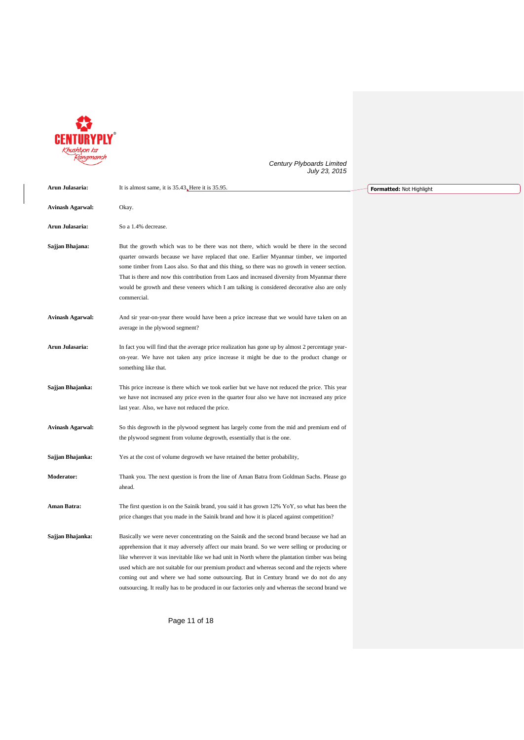

| Arun Julasaria:         | It is almost same, it is 35.43. Here it is 35.95.                                                                                                                                                                                                                                                                                                                                                                                                                                                                                                                                       | <b>Formatted: Not Highlight</b> |
|-------------------------|-----------------------------------------------------------------------------------------------------------------------------------------------------------------------------------------------------------------------------------------------------------------------------------------------------------------------------------------------------------------------------------------------------------------------------------------------------------------------------------------------------------------------------------------------------------------------------------------|---------------------------------|
| Avinash Agarwal:        | Okay.                                                                                                                                                                                                                                                                                                                                                                                                                                                                                                                                                                                   |                                 |
| Arun Julasaria:         | So a 1.4% decrease.                                                                                                                                                                                                                                                                                                                                                                                                                                                                                                                                                                     |                                 |
| Sajjan Bhajana:         | But the growth which was to be there was not there, which would be there in the second<br>quarter onwards because we have replaced that one. Earlier Myanmar timber, we imported<br>some timber from Laos also. So that and this thing, so there was no growth in veneer section.<br>That is there and now this contribution from Laos and increased diversity from Myanmar there<br>would be growth and these veneers which I am talking is considered decorative also are only<br>commercial.                                                                                         |                                 |
| <b>Avinash Agarwal:</b> | And sir year-on-year there would have been a price increase that we would have taken on an<br>average in the plywood segment?                                                                                                                                                                                                                                                                                                                                                                                                                                                           |                                 |
| Arun Julasaria:         | In fact you will find that the average price realization has gone up by almost 2 percentage year-<br>on-year. We have not taken any price increase it might be due to the product change or<br>something like that.                                                                                                                                                                                                                                                                                                                                                                     |                                 |
| Sajjan Bhajanka:        | This price increase is there which we took earlier but we have not reduced the price. This year<br>we have not increased any price even in the quarter four also we have not increased any price<br>last year. Also, we have not reduced the price.                                                                                                                                                                                                                                                                                                                                     |                                 |
| <b>Avinash Agarwal:</b> | So this degrowth in the plywood segment has largely come from the mid and premium end of<br>the plywood segment from volume degrowth, essentially that is the one.                                                                                                                                                                                                                                                                                                                                                                                                                      |                                 |
| Sajjan Bhajanka:        | Yes at the cost of volume degrowth we have retained the better probability,                                                                                                                                                                                                                                                                                                                                                                                                                                                                                                             |                                 |
| <b>Moderator:</b>       | Thank you. The next question is from the line of Aman Batra from Goldman Sachs. Please go<br>ahead.                                                                                                                                                                                                                                                                                                                                                                                                                                                                                     |                                 |
| Aman Batra:             | The first question is on the Sainik brand, you said it has grown 12% YoY, so what has been the<br>price changes that you made in the Sainik brand and how it is placed against competition?                                                                                                                                                                                                                                                                                                                                                                                             |                                 |
| Sajjan Bhajanka:        | Basically we were never concentrating on the Sainik and the second brand because we had an<br>apprehension that it may adversely affect our main brand. So we were selling or producing or<br>like wherever it was inevitable like we had unit in North where the plantation timber was being<br>used which are not suitable for our premium product and whereas second and the rejects where<br>coming out and where we had some outsourcing. But in Century brand we do not do any<br>outsourcing. It really has to be produced in our factories only and whereas the second brand we |                                 |

Page 11 of 18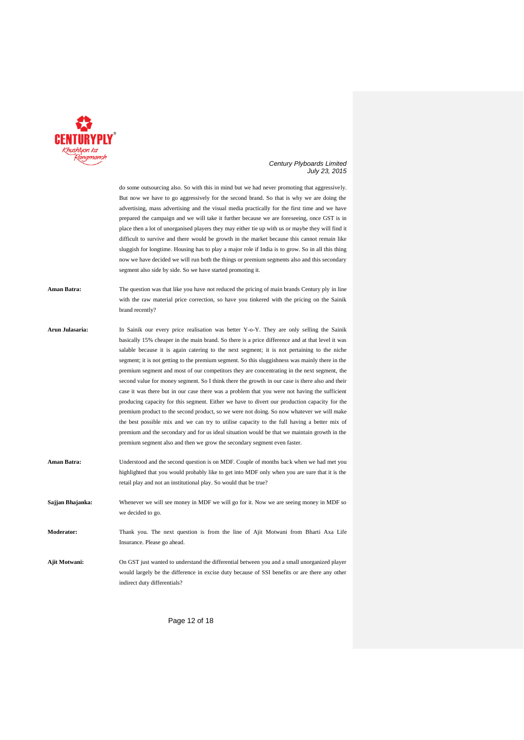

do some outsourcing also. So with this in mind but we had never promoting that aggressively. But now we have to go aggressively for the second brand. So that is why we are doing the advertising, mass advertising and the visual media practically for the first time and we have prepared the campaign and we will take it further because we are foreseeing, once GST is in place then a lot of unorganised players they may either tie up with us or maybe they will find it difficult to survive and there would be growth in the market because this cannot remain like sluggish for longtime. Housing has to play a major role if India is to grow. So in all this thing now we have decided we will run both the things or premium segments also and this secondary segment also side by side. So we have started promoting it.

**Aman Batra:** The question was that like you have not reduced the pricing of main brands Century ply in line with the raw material price correction, so have you tinkered with the pricing on the Sainik brand recently?

**Arun Julasaria:** In Sainik our every price realisation was better Y-o-Y. They are only selling the Sainik basically 15% cheaper in the main brand. So there is a price difference and at that level it was salable because it is again catering to the next segment; it is not pertaining to the niche segment; it is not getting to the premium segment. So this sluggishness was mainly there in the premium segment and most of our competitors they are concentrating in the next segment, the second value for money segment. So I think there the growth in our case is there also and their case it was there but in our case there was a problem that you were not having the sufficient producing capacity for this segment. Either we have to divert our production capacity for the premium product to the second product, so we were not doing. So now whatever we will make the best possible mix and we can try to utilise capacity to the full having a better mix of premium and the secondary and for us ideal situation would be that we maintain growth in the premium segment also and then we grow the secondary segment even faster.

- **Aman Batra:** Understood and the second question is on MDF. Couple of months back when we had met you highlighted that you would probably like to get into MDF only when you are sure that it is the retail play and not an institutional play. So would that be true?
- **Sajjan Bhajanka:** Whenever we will see money in MDF we will go for it. Now we are seeing money in MDF so we decided to go.
- **Moderator:** Thank you. The next question is from the line of Ajit Motwani from Bharti Axa Life Insurance. Please go ahead.
- **Ajit Motwani:** On GST just wanted to understand the differential between you and a small unorganized player would largely be the difference in excise duty because of SSI benefits or are there any other indirect duty differentials?

Page 12 of 18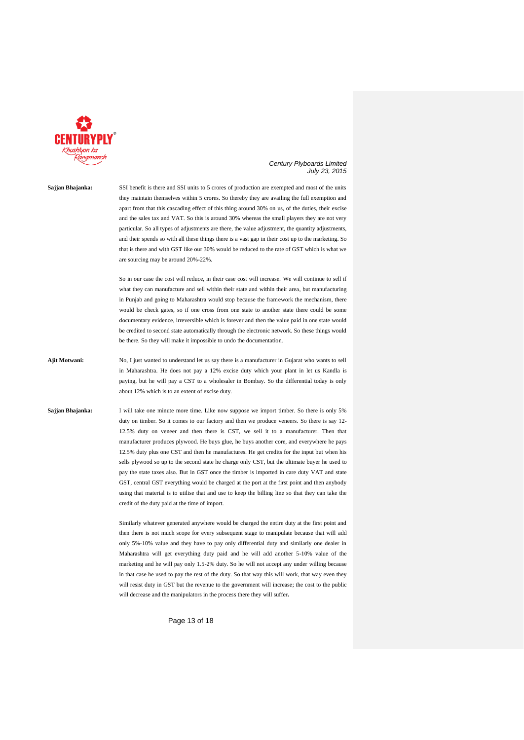

**Sajjan Bhajanka:** SSI benefit is there and SSI units to 5 crores of production are exempted and most of the units they maintain themselves within 5 crores. So thereby they are availing the full exemption and apart from that this cascading effect of this thing around 30% on us, of the duties, their excise and the sales tax and VAT. So this is around 30% whereas the small players they are not very particular. So all types of adjustments are there, the value adjustment, the quantity adjustments, and their spends so with all these things there is a vast gap in their cost up to the marketing. So that is there and with GST like our 30% would be reduced to the rate of GST which is what we are sourcing may be around 20%-22%.

> So in our case the cost will reduce, in their case cost will increase. We will continue to sell if what they can manufacture and sell within their state and within their area, but manufacturing in Punjab and going to Maharashtra would stop because the framework the mechanism, there would be check gates, so if one cross from one state to another state there could be some documentary evidence, irreversible which is forever and then the value paid in one state would be credited to second state automatically through the electronic network. So these things would be there. So they will make it impossible to undo the documentation.

**Ajit Motwani:** No, I just wanted to understand let us say there is a manufacturer in Gujarat who wants to sell in Maharashtra. He does not pay a 12% excise duty which your plant in let us Kandla is paying, but he will pay a CST to a wholesaler in Bombay. So the differential today is only about 12% which is to an extent of excise duty.

**Sajjan Bhajanka:** I will take one minute more time. Like now suppose we import timber. So there is only 5% duty on timber. So it comes to our factory and then we produce veneers. So there is say 12- 12.5% duty on veneer and then there is CST, we sell it to a manufacturer. Then that manufacturer produces plywood. He buys glue, he buys another core, and everywhere he pays 12.5% duty plus one CST and then he manufactures. He get credits for the input but when his sells plywood so up to the second state he charge only CST, but the ultimate buyer he used to pay the state taxes also. But in GST once the timber is imported in care duty VAT and state GST, central GST everything would be charged at the port at the first point and then anybody using that material is to utilise that and use to keep the billing line so that they can take the credit of the duty paid at the time of import.

> Similarly whatever generated anywhere would be charged the entire duty at the first point and then there is not much scope for every subsequent stage to manipulate because that will add only 5%-10% value and they have to pay only differential duty and similarly one dealer in Maharashtra will get everything duty paid and he will add another 5-10% value of the marketing and he will pay only 1.5-2% duty. So he will not accept any under willing because in that case he used to pay the rest of the duty. So that way this will work, that way even they will resist duty in GST but the revenue to the government will increase; the cost to the public will decrease and the manipulators in the process there they will suffer**.**

> > Page 13 of 18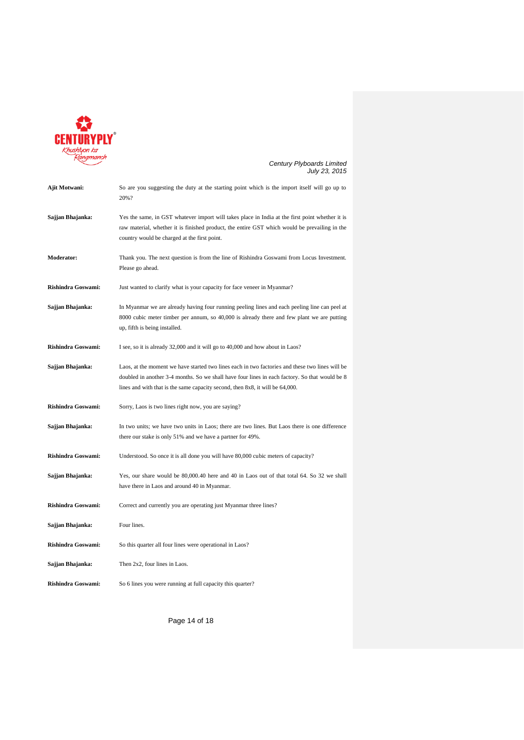

*Century Plyboards Limited July 23, 2015* **Ajit Motwani:** So are you suggesting the duty at the starting point which is the import itself will go up to 20%? **Sajjan Bhajanka:** Yes the same, in GST whatever import will takes place in India at the first point whether it is raw material, whether it is finished product, the entire GST which would be prevailing in the country would be charged at the first point. **Moderator:** Thank you. The next question is from the line of Rishindra Goswami from Locus Investment. Please go ahead. **Rishindra Goswami:** Just wanted to clarify what is your capacity for face veneer in Myanmar? **Sajjan Bhajanka:** In Myanmar we are already having four running peeling lines and each peeling line can peel at 8000 cubic meter timber per annum, so 40,000 is already there and few plant we are putting up, fifth is being installed. **Rishindra Goswami:** I see, so it is already 32,000 and it will go to 40,000 and how about in Laos? **Sajjan Bhajanka:** Laos, at the moment we have started two lines each in two factories and these two lines will be doubled in another 3-4 months. So we shall have four lines in each factory. So that would be 8 lines and with that is the same capacity second, then 8x8, it will be 64,000. **Rishindra Goswami:** Sorry, Laos is two lines right now, you are saying? **Sajjan Bhajanka:** In two units; we have two units in Laos; there are two lines. But Laos there is one difference there our stake is only 51% and we have a partner for 49%. **Rishindra Goswami:** Understood. So once it is all done you will have 80,000 cubic meters of capacity? **Sajjan Bhajanka:** Yes, our share would be 80,000.40 here and 40 in Laos out of that total 64. So 32 we shall have there in Laos and around 40 in Myanmar. **Rishindra Goswami:** Correct and currently you are operating just Myanmar three lines? **Sajjan Bhajanka:** Four lines. **Rishindra Goswami:** So this quarter all four lines were operational in Laos? **Sajjan Bhajanka:** Then 2x2, four lines in Laos. **Rishindra Goswami:** So 6 lines you were running at full capacity this quarter?

Page 14 of 18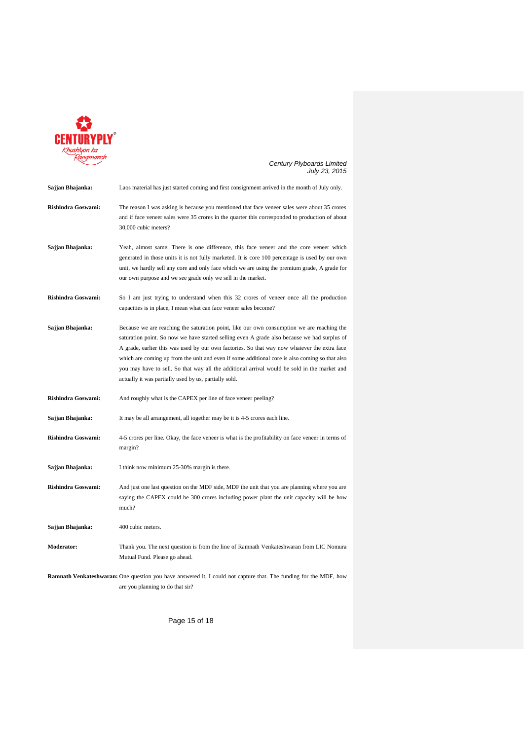

| Sajjan Bhajanka:   | Laos material has just started coming and first consignment arrived in the month of July only.                                                                                                                                                                                                                                                                                                                                                                                                                                                        |
|--------------------|-------------------------------------------------------------------------------------------------------------------------------------------------------------------------------------------------------------------------------------------------------------------------------------------------------------------------------------------------------------------------------------------------------------------------------------------------------------------------------------------------------------------------------------------------------|
| Rishindra Goswami: | The reason I was asking is because you mentioned that face veneer sales were about 35 crores<br>and if face veneer sales were 35 crores in the quarter this corresponded to production of about<br>30,000 cubic meters?                                                                                                                                                                                                                                                                                                                               |
| Sajjan Bhajanka:   | Yeah, almost same. There is one difference, this face veneer and the core veneer which<br>generated in those units it is not fully marketed. It is core 100 percentage is used by our own<br>unit, we hardly sell any core and only face which we are using the premium grade, A grade for<br>our own purpose and we see grade only we sell in the market.                                                                                                                                                                                            |
| Rishindra Goswami: | So I am just trying to understand when this 32 crores of veneer once all the production<br>capacities is in place, I mean what can face veneer sales become?                                                                                                                                                                                                                                                                                                                                                                                          |
| Sajjan Bhajanka:   | Because we are reaching the saturation point, like our own consumption we are reaching the<br>saturation point. So now we have started selling even A grade also because we had surplus of<br>A grade, earlier this was used by our own factories. So that way now whatever the extra face<br>which are coming up from the unit and even if some additional core is also coming so that also<br>you may have to sell. So that way all the additional arrival would be sold in the market and<br>actually it was partially used by us, partially sold. |
| Rishindra Goswami: | And roughly what is the CAPEX per line of face veneer peeling?                                                                                                                                                                                                                                                                                                                                                                                                                                                                                        |
| Sajjan Bhajanka:   | It may be all arrangement, all together may be it is 4-5 crores each line.                                                                                                                                                                                                                                                                                                                                                                                                                                                                            |
| Rishindra Goswami: | 4-5 crores per line. Okay, the face veneer is what is the profitability on face veneer in terms of<br>margin?                                                                                                                                                                                                                                                                                                                                                                                                                                         |
| Sajjan Bhajanka:   | I think now minimum 25-30% margin is there.                                                                                                                                                                                                                                                                                                                                                                                                                                                                                                           |
| Rishindra Goswami: | And just one last question on the MDF side, MDF the unit that you are planning where you are<br>saying the CAPEX could be 300 crores including power plant the unit capacity will be how<br>much?                                                                                                                                                                                                                                                                                                                                                     |
| Sajjan Bhajanka:   | 400 cubic meters.                                                                                                                                                                                                                                                                                                                                                                                                                                                                                                                                     |
| Moderator:         | Thank you. The next question is from the line of Ramnath Venkateshwaran from LIC Nomura<br>Mutual Fund. Please go ahead.                                                                                                                                                                                                                                                                                                                                                                                                                              |
|                    | <b>Ramnath Venkateshwaran:</b> One question you have answered it, I could not capture that. The funding for the MDF, how<br>are you planning to do that sir?                                                                                                                                                                                                                                                                                                                                                                                          |

Page 15 of 18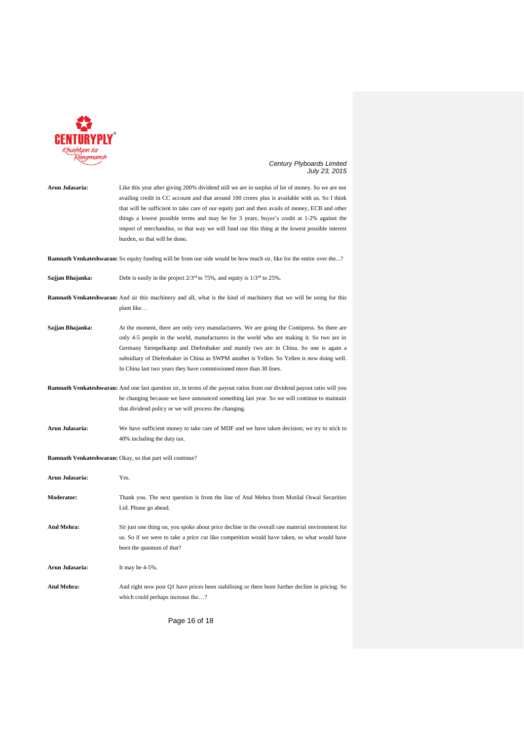

**Arun Julasaria:** Like this year after giving 200% dividend still we are in surplus of lot of money. So we are not availing credit in CC account and that around 100 crores plus is available with us. So I think that will be sufficient to take care of our equity part and then avails of money, ECB and other things a lowest possible terms and may be for 3 years, buyer's credit at 1-2% against the import of merchandise, so that way we will fund our this thing at the lowest possible interest burden, so that will be done**.**

**Ramnath Venkateshwaran:** So equity funding will be from our side would be how much sir, like for the entire over the...?

| Sajjan Bhajanka:   | Debt is easily in the project $2/3^{rd}$ to 75%, and equity is $1/3^{rd}$ to 25%.                                                                                                                                                                                                                                                                                                                                                                  |
|--------------------|----------------------------------------------------------------------------------------------------------------------------------------------------------------------------------------------------------------------------------------------------------------------------------------------------------------------------------------------------------------------------------------------------------------------------------------------------|
|                    | <b>Ramnath Venkateshwaran:</b> And sir this machinery and all, what is the kind of machinery that we will be using for this<br>plant like                                                                                                                                                                                                                                                                                                          |
| Sajjan Bhajanka:   | At the moment, there are only very manufacturers. We are going the Contipress. So there are<br>only 4-5 people in the world, manufacturers in the world who are making it. So two are in<br>Germany Siempelkamp and Diefenbaker and mainly two are in China. So one is again a<br>subsidiary of Diefenbaker in China as SWPM another is Yellen. So Yellen is now doing well.<br>In China last two years they have commissioned more than 30 lines. |
|                    | <b>Ramnath Venkateshwaran:</b> And one last question sir, in terms of the payout ratios from our dividend payout ratio will you<br>be changing because we have announced something last year. So we will continue to maintain<br>that dividend policy or we will process the changing.                                                                                                                                                             |
| Arun Julasaria:    | We have sufficient money to take care of MDF and we have taken decision; we try to stick to<br>40% including the duty tax.                                                                                                                                                                                                                                                                                                                         |
|                    | <b>Ramnath Venkateshwaran:</b> Okay, so that part will continue?                                                                                                                                                                                                                                                                                                                                                                                   |
| Arun Julasaria:    | Yes.                                                                                                                                                                                                                                                                                                                                                                                                                                               |
| Moderator:         | Thank you. The next question is from the line of Atul Mehra from Motilal Oswal Securities<br>Ltd. Please go ahead.                                                                                                                                                                                                                                                                                                                                 |
| <b>Atul Mehra:</b> | Sir just one thing on, you spoke about price decline in the overall raw material environment for<br>us. So if we were to take a price cut like competition would have taken, so what would have<br>been the quantum of that?                                                                                                                                                                                                                       |
| Arun Julasaria:    | It may be $4-5%$ .                                                                                                                                                                                                                                                                                                                                                                                                                                 |
| Atul Mehra:        | And right now post Q1 have prices been stabilising or there been further decline in pricing. So<br>which could perhaps increase the?                                                                                                                                                                                                                                                                                                               |

Page 16 of 18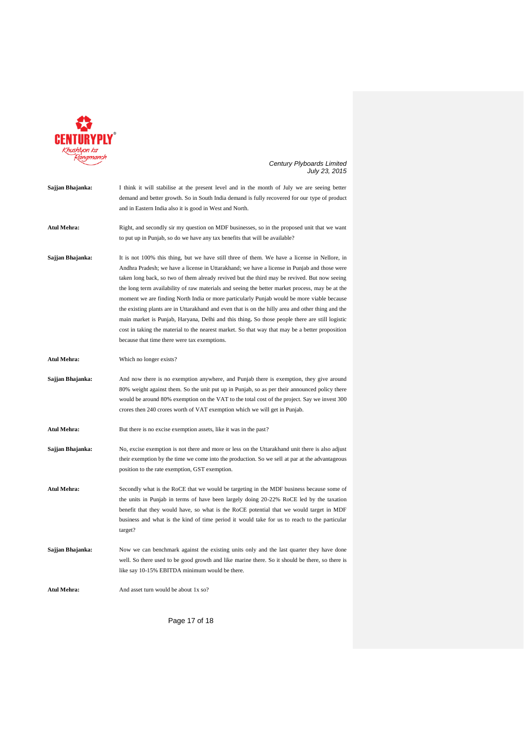

# *Century Plyboards Limited*

|                  | July 23, 2015                                                                                                                                                                                                                                                                                                                                                                                                                                                                                                                                                                                                                                                                                                                                                                                                                                           |
|------------------|---------------------------------------------------------------------------------------------------------------------------------------------------------------------------------------------------------------------------------------------------------------------------------------------------------------------------------------------------------------------------------------------------------------------------------------------------------------------------------------------------------------------------------------------------------------------------------------------------------------------------------------------------------------------------------------------------------------------------------------------------------------------------------------------------------------------------------------------------------|
| Sajjan Bhajanka: | I think it will stabilise at the present level and in the month of July we are seeing better<br>demand and better growth. So in South India demand is fully recovered for our type of product<br>and in Eastern India also it is good in West and North.                                                                                                                                                                                                                                                                                                                                                                                                                                                                                                                                                                                                |
| Atul Mehra:      | Right, and secondly sir my question on MDF businesses, so in the proposed unit that we want<br>to put up in Punjab, so do we have any tax benefits that will be available?                                                                                                                                                                                                                                                                                                                                                                                                                                                                                                                                                                                                                                                                              |
| Sajjan Bhajanka: | It is not 100% this thing, but we have still three of them. We have a license in Nellore, in<br>Andhra Pradesh; we have a license in Uttarakhand; we have a license in Punjab and those were<br>taken long back, so two of them already revived but the third may be revived. But now seeing<br>the long term availability of raw materials and seeing the better market process, may be at the<br>moment we are finding North India or more particularly Punjab would be more viable because<br>the existing plants are in Uttarakhand and even that is on the hilly area and other thing and the<br>main market is Punjab, Haryana, Delhi and this thing. So those people there are still logistic<br>cost in taking the material to the nearest market. So that way that may be a better proposition<br>because that time there were tax exemptions. |
| Atul Mehra:      | Which no longer exists?                                                                                                                                                                                                                                                                                                                                                                                                                                                                                                                                                                                                                                                                                                                                                                                                                                 |
| Sajjan Bhajanka: | And now there is no exemption anywhere, and Punjab there is exemption, they give around<br>80% weight against them. So the unit put up in Punjab, so as per their announced policy there<br>would be around 80% exemption on the VAT to the total cost of the project. Say we invest 300<br>crores then 240 crores worth of VAT exemption which we will get in Punjab.                                                                                                                                                                                                                                                                                                                                                                                                                                                                                  |
| Atul Mehra:      | But there is no excise exemption assets, like it was in the past?                                                                                                                                                                                                                                                                                                                                                                                                                                                                                                                                                                                                                                                                                                                                                                                       |
| Sajjan Bhajanka: | No, excise exemption is not there and more or less on the Uttarakhand unit there is also adjust<br>their exemption by the time we come into the production. So we sell at par at the advantageous<br>position to the rate exemption, GST exemption.                                                                                                                                                                                                                                                                                                                                                                                                                                                                                                                                                                                                     |
| Atul Mehra:      | Secondly what is the RoCE that we would be targeting in the MDF business because some of<br>the units in Punjab in terms of have been largely doing 20-22% RoCE led by the taxation<br>benefit that they would have, so what is the RoCE potential that we would target in MDF<br>business and what is the kind of time period it would take for us to reach to the particular<br>target?                                                                                                                                                                                                                                                                                                                                                                                                                                                               |
| Sajjan Bhajanka: | Now we can benchmark against the existing units only and the last quarter they have done<br>well. So there used to be good growth and like marine there. So it should be there, so there is<br>like say 10-15% EBITDA minimum would be there.                                                                                                                                                                                                                                                                                                                                                                                                                                                                                                                                                                                                           |
| Atul Mehra:      | And asset turn would be about 1x so?                                                                                                                                                                                                                                                                                                                                                                                                                                                                                                                                                                                                                                                                                                                                                                                                                    |
|                  |                                                                                                                                                                                                                                                                                                                                                                                                                                                                                                                                                                                                                                                                                                                                                                                                                                                         |

Page 17 of 18